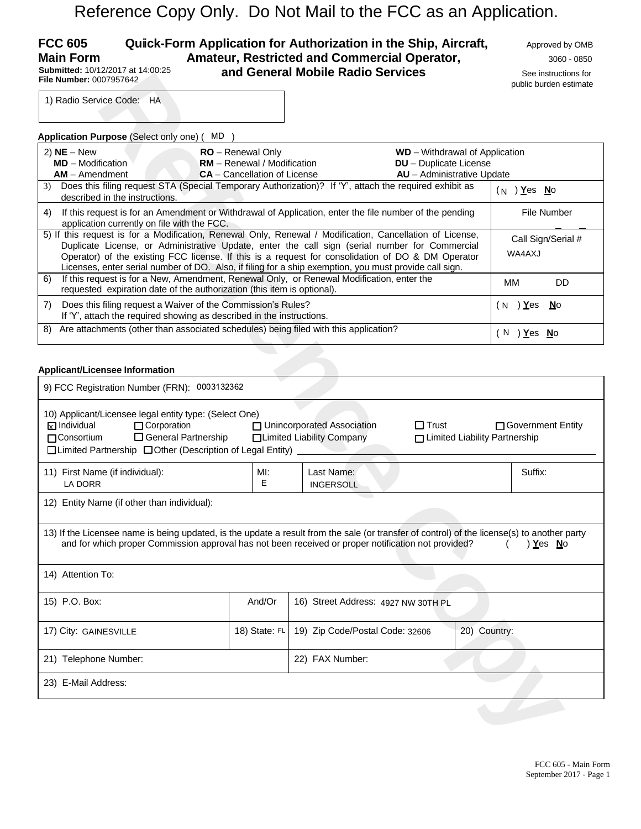# Reference Copy Only. Do Not Mail to the FCC as an Application.

#### **FCC 605 Quick-Form Application for Authorization in the Ship, Aircraft, Approved by OMB Main Form Amateur, Restricted and Commercial Operator,** <sup>3060</sup> - <sup>0850</sup> **and General Mobile Radio Services** See instructions for **Submitted:** 10/12/2017 at 14:00:25 **File Number:** 0007957642

public burden estimate

| <b>Application Purpose (Select only one) (</b>                                                                                                                                                                                                                                                                                                                                                                            | MD.                                                                                                                                                                  |                                                                                                      |                                 |
|---------------------------------------------------------------------------------------------------------------------------------------------------------------------------------------------------------------------------------------------------------------------------------------------------------------------------------------------------------------------------------------------------------------------------|----------------------------------------------------------------------------------------------------------------------------------------------------------------------|------------------------------------------------------------------------------------------------------|---------------------------------|
| 2) $NE - New$<br><b>MD</b> – Modification<br>$AM -$ Amendment                                                                                                                                                                                                                                                                                                                                                             | <b>RO</b> – Renewal Only<br><b>RM</b> – Renewal / Modification<br><b>CA</b> – Cancellation of License                                                                | <b>WD</b> – Withdrawal of Application<br><b>DU</b> - Duplicate License<br>AU - Administrative Update |                                 |
| 3)<br>described in the instructions.                                                                                                                                                                                                                                                                                                                                                                                      | Does this filing request STA (Special Temporary Authorization)? If 'Y', attach the required exhibit as                                                               |                                                                                                      | ) <u>Y</u> es <u>N</u> o<br>( N |
| 4)<br>application currently on file with the FCC.                                                                                                                                                                                                                                                                                                                                                                         | If this request is for an Amendment or Withdrawal of Application, enter the file number of the pending                                                               |                                                                                                      | File Number                     |
| 5) If this request is for a Modification, Renewal Only, Renewal / Modification, Cancellation of License,<br>Duplicate License, or Administrative Update, enter the call sign (serial number for Commercial<br>Operator) of the existing FCC license. If this is a request for consolidation of DO & DM Operator<br>Licenses, enter serial number of DO. Also, if filing for a ship exemption, you must provide call sign. | Call Sign/Serial #<br>WA4AXJ                                                                                                                                         |                                                                                                      |                                 |
| 6)                                                                                                                                                                                                                                                                                                                                                                                                                        | If this request is for a New, Amendment, Renewal Only, or Renewal Modification, enter the<br>requested expiration date of the authorization (this item is optional). |                                                                                                      | MМ<br>DD.                       |
| 7)                                                                                                                                                                                                                                                                                                                                                                                                                        | Does this filing request a Waiver of the Commission's Rules?<br>If 'Y', attach the required showing as described in the instructions.                                |                                                                                                      | )Yes No<br>'N                   |
| 8)                                                                                                                                                                                                                                                                                                                                                                                                                        | Are attachments (other than associated schedules) being filed with this application?                                                                                 |                                                                                                      | N<br>Yes<br>- No                |

#### **Applicant/Licensee Information**

| File Number: 0007957642                                                                                                                                                                                                                                                                                                                                                                                                   |                                                                                                | and General Mobile Radio Services |                                                                                               | See instructions for<br>public burden estimate |  |  |  |
|---------------------------------------------------------------------------------------------------------------------------------------------------------------------------------------------------------------------------------------------------------------------------------------------------------------------------------------------------------------------------------------------------------------------------|------------------------------------------------------------------------------------------------|-----------------------------------|-----------------------------------------------------------------------------------------------|------------------------------------------------|--|--|--|
| 1) Radio Service Code: HA                                                                                                                                                                                                                                                                                                                                                                                                 |                                                                                                |                                   |                                                                                               |                                                |  |  |  |
|                                                                                                                                                                                                                                                                                                                                                                                                                           |                                                                                                |                                   |                                                                                               |                                                |  |  |  |
| Application Purpose (Select only one) (MD                                                                                                                                                                                                                                                                                                                                                                                 |                                                                                                |                                   |                                                                                               |                                                |  |  |  |
| $2)$ NE - New<br><b>MD</b> - Modification<br>$AM - A$ mendment                                                                                                                                                                                                                                                                                                                                                            | RO - Renewal Only<br><b>RM</b> - Renewal / Modification<br><b>CA</b> - Cancellation of License |                                   | WD - Withdrawal of Application<br><b>DU</b> - Duplicate License<br>AU - Administrative Update |                                                |  |  |  |
| 3) Does this filing request STA (Special Temporary Authorization)? If 'Y', attach the required exhibit as<br>$(N)$ Yes No<br>described in the instructions.                                                                                                                                                                                                                                                               |                                                                                                |                                   |                                                                                               |                                                |  |  |  |
| If this request is for an Amendment or Withdrawal of Application, enter the file number of the pending<br>File Number<br>4)<br>application currently on file with the FCC.                                                                                                                                                                                                                                                |                                                                                                |                                   |                                                                                               |                                                |  |  |  |
| 5) If this request is for a Modification, Renewal Only, Renewal / Modification, Cancellation of License,<br>Duplicate License, or Administrative Update, enter the call sign (serial number for Commercial<br>Operator) of the existing FCC license. If this is a request for consolidation of DO & DM Operator<br>Licenses, enter serial number of DO. Also, if filing for a ship exemption, you must provide call sign. |                                                                                                | Call Sign/Serial #<br>WA4AXJ      |                                                                                               |                                                |  |  |  |
| If this request is for a New, Amendment, Renewal Only, or Renewal Modification, enter the<br>6)<br>requested expiration date of the authorization (this item is optional).                                                                                                                                                                                                                                                |                                                                                                |                                   |                                                                                               | <b>DD</b><br>ΜМ                                |  |  |  |
| Does this filing request a Waiver of the Commission's Rules?<br>7)<br>If 'Y', attach the required showing as described in the instructions.                                                                                                                                                                                                                                                                               | ( N                                                                                            | ) <u>Y</u> es<br><b>No</b>        |                                                                                               |                                                |  |  |  |
| Are attachments (other than associated schedules) being filed with this application?<br>8)                                                                                                                                                                                                                                                                                                                                |                                                                                                |                                   |                                                                                               | $(N)$ Yes No                                   |  |  |  |
| Applicant/Licensee Information                                                                                                                                                                                                                                                                                                                                                                                            |                                                                                                |                                   |                                                                                               |                                                |  |  |  |
| 9) FCC Registration Number (FRN): 0003132362                                                                                                                                                                                                                                                                                                                                                                              |                                                                                                |                                   |                                                                                               |                                                |  |  |  |
| 10) Applicant/Licensee legal entity type: (Select One)<br>$\boxtimes$ Individual<br>□ Corporation<br>□ Unincorporated Association<br>$\Box$ Trust<br>□ Government Entity<br>□ General Partnership<br>□ Consortium<br>□Limited Liability Company<br>□ Limited Liability Partnership<br>□ Limited Partnership □ Other (Description of Legal Entity) _____                                                                   |                                                                                                |                                   |                                                                                               |                                                |  |  |  |
| 11) First Name (if individual):<br><b>LA DORR</b>                                                                                                                                                                                                                                                                                                                                                                         | MI:<br>E                                                                                       | Last Name:<br><b>INGERSOLL</b>    |                                                                                               | Suffix:                                        |  |  |  |
| 12) Entity Name (if other than individual):                                                                                                                                                                                                                                                                                                                                                                               |                                                                                                |                                   |                                                                                               |                                                |  |  |  |
| 13) If the Licensee name is being updated, is the update a result from the sale (or transfer of control) of the license(s) to another party<br>and for which proper Commission approval has not been received or proper notification not provided?<br>) Yes No                                                                                                                                                            |                                                                                                |                                   |                                                                                               |                                                |  |  |  |
| 14) Attention To:                                                                                                                                                                                                                                                                                                                                                                                                         |                                                                                                |                                   |                                                                                               |                                                |  |  |  |
| 15) P.O. Box:                                                                                                                                                                                                                                                                                                                                                                                                             | And/Or<br>16) Street Address: 4927 NW 30TH PL                                                  |                                   |                                                                                               |                                                |  |  |  |
| 17) City: GAINESVILLE                                                                                                                                                                                                                                                                                                                                                                                                     | 18) State: FL                                                                                  | 19) Zip Code/Postal Code: 32606   | 20) Country:                                                                                  |                                                |  |  |  |
| 21) Telephone Number:                                                                                                                                                                                                                                                                                                                                                                                                     |                                                                                                | 22) FAX Number:                   |                                                                                               |                                                |  |  |  |
| 23) E-Mail Address:                                                                                                                                                                                                                                                                                                                                                                                                       |                                                                                                |                                   |                                                                                               |                                                |  |  |  |
|                                                                                                                                                                                                                                                                                                                                                                                                                           |                                                                                                |                                   |                                                                                               |                                                |  |  |  |
|                                                                                                                                                                                                                                                                                                                                                                                                                           |                                                                                                |                                   |                                                                                               |                                                |  |  |  |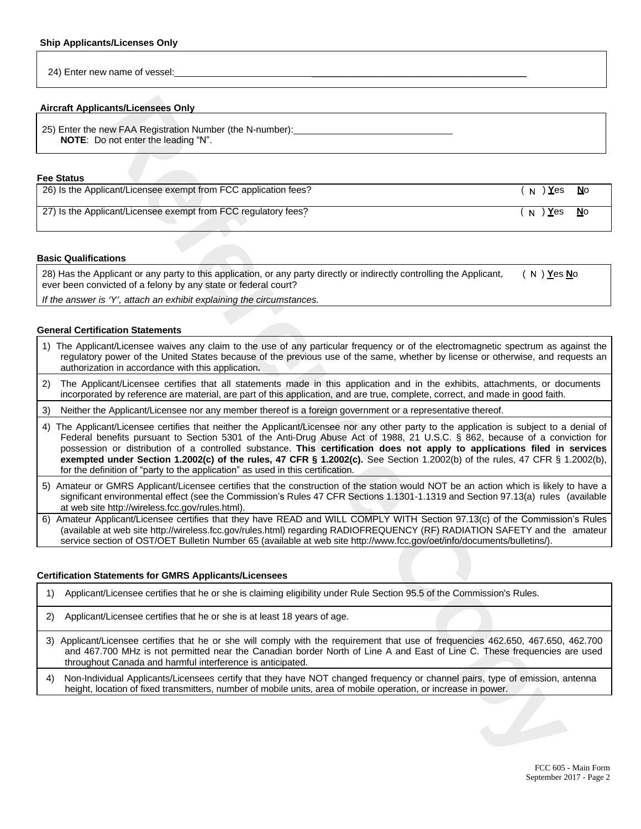24) Enter new name of vessel:

#### **Aircraft Applicants/Licensees Only**

25) Enter the new FAA Registration Number (the N-number): **NOTE**: Do not enter the leading "N".

#### **Fee Status**

| 26) Is the Applicant/Licensee exempt from FCC application fees? | <sub>∖N</sub> ) <u>Y</u> es | No        |
|-----------------------------------------------------------------|-----------------------------|-----------|
| 27) Is the Applicant/Licensee exempt from FCC regulatory fees?  | N ) <b>Y</b> es             | <b>No</b> |

#### **Basic Qualifications**

28) Has the Applicant or any party to this application, or any party directly or indirectly controlling the Applicant, ever been convicted of a felony by any state or federal court? ( ) **Y**es **N**o N

*If the answer is 'Y', attach an exhibit explaining the circumstances.*

#### **General Certification Statements**

- 1) The Applicant/Licensee waives any claim to the use of any particular frequency or of the electromagnetic spectrum as against the regulatory power of the United States because of the previous use of the same, whether by license or otherwise, and requests an authorization in accordance with this application**.**
- 2) The Applicant/Licensee certifies that all statements made in this application and in the exhibits, attachments, or documents incorporated by reference are material, are part of this application, and are true, complete, correct, and made in good faith.
- 3) Neither the Applicant/Licensee nor any member thereof is a foreign government or a representative thereof.
- **Reflexiveness Only<br>
Reflexiveness Copy<br>
For Reflexiveness Reflexiveness (Figure Reflexiveness):**<br> **Reflexiveness exampliform FCC supplements**<br> **Reflexiveness exampliform FCC supplements**<br> **Reflexiveness control for Reflex** 4) The Applicant/Licensee certifies that neither the Applicant/Licensee nor any other party to the application is subject to a denial of Federal benefits pursuant to Section 5301 of the Anti-Drug Abuse Act of 1988, 21 U.S.C. § 862, because of a conviction for possession or distribution of a controlled substance. **This certification does not apply to applications filed in services exempted under Section 1.2002(c) of the rules, 47 CFR § 1.2002(c).** See Section 1.2002(b) of the rules, 47 CFR § 1.2002(b), for the definition of "party to the application" as used in this certification.
- 5) Amateur or GMRS Applicant/Licensee certifies that the construction of the station would NOT be an action which is likely to have a significant environmental effect (see the Commission's Rules 47 CFR Sections 1.1301-1.1319 and Section 97.13(a) rules (available at web site http://wireless.fcc.gov/rules.html).
- 6) Amateur Applicant/Licensee certifies that they have READ and WILL COMPLY WITH Section 97.13(c) of the Commission's Rules (available at web site http://wireless.fcc.gov/rules.html) regarding RADIOFREQUENCY (RF) RADIATION SAFETY and the amateur service section of OST/OET Bulletin Number 65 (available at web site http://www.fcc.gov/oet/info/documents/bulletins/).

#### **Certification Statements for GMRS Applicants/Licensees**

1) Applicant/Licensee certifies that he or she is claiming eligibility under Rule Section 95.5 of the Commission's Rules.

- 2) Applicant/Licensee certifies that he or she is at least 18 years of age.
- 3) Applicant/Licensee certifies that he or she will comply with the requirement that use of frequencies 462.650, 467.650, 462.700 and 467.700 MHz is not permitted near the Canadian border North of Line A and East of Line C. These frequencies are used throughout Canada and harmful interference is anticipated.
- 4) Non-Individual Applicants/Licensees certify that they have NOT changed frequency or channel pairs, type of emission, antenna height, location of fixed transmitters, number of mobile units, area of mobile operation, or increase in power.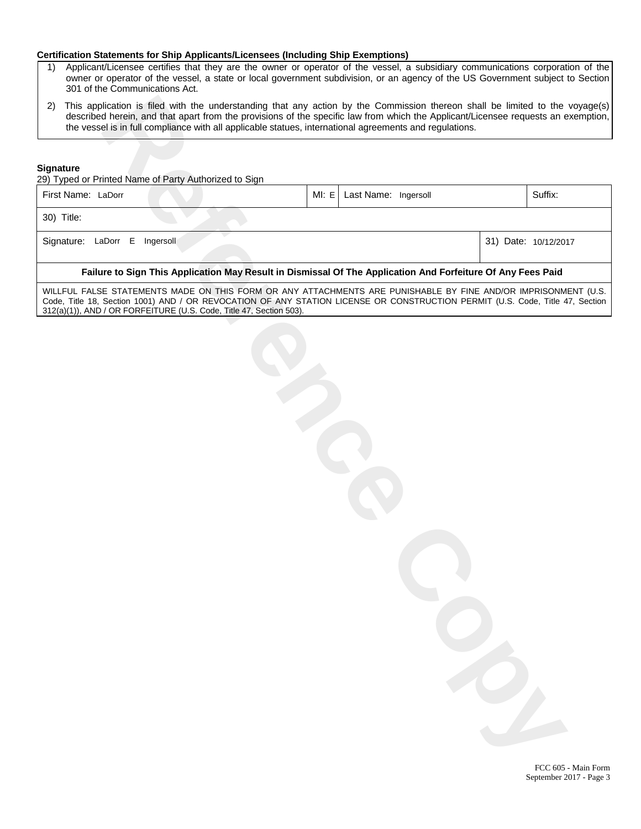#### **Certification Statements for Ship Applicants/Licensees (Including Ship Exemptions)**

- 1) Applicant/Licensee certifies that they are the owner or operator of the vessel, a subsidiary communications corporation of the owner or operator of the vessel, a state or local government subdivision, or an agency of the US Government subject to Section 301 of the Communications Act.
- 2) This application is filed with the understanding that any action by the Commission thereon shall be limited to the voyage(s) described herein, and that apart from the provisions of the specific law from which the Applicant/Licensee requests an exemption, the vessel is in full compliance with all applicable statues, international agreements and regulations.

#### **Signature**

29) Typed or Printed Name of Party Authorized to Sign

| First Name: LaDorr                                                         |  | MI: E   Last Name: Ingersoll |  | Suffix: |
|----------------------------------------------------------------------------|--|------------------------------|--|---------|
| 30) Title:                                                                 |  |                              |  |         |
| Signature: LaDorr E Ingersoll<br>31) Date: 10/12/2017                      |  |                              |  |         |
| 医心脏 人名英格兰人姓氏卡斯特的变体 医心脏病 医心脏病 医心脏病 医心脏病 医中枢 医心脏 人名英格兰人姓氏卡尔的变体 医心脏病 医心脏病 医心脏 |  |                              |  |         |

#### **Failure to Sign This Application May Result in Dismissal Of The Application And Forfeiture Of Any Fees Paid**

WILLFUL FALSE STATEMENTS MADE ON THIS FORM OR ANY ATTACHMENTS ARE PUNISHABLE BY FINE AND/OR IMPRISONMENT (U.S. Code, Title 18, Section 1001) AND / OR REVOCATION OF ANY STATION LICENSE OR CONSTRUCTION PERMIT (U.S. Code, Title 47, Section 312(a)(1)), AND / OR FORFEITURE (U.S. Code, Title 47, Section 503).

**Referred that you have the experienced on the procedure of the Commutation Reference and like indicate the model of the community of the commutation of the specific flux from the frequencies and solutions of the stress of** 

FCC 605 - Main Form September 2017 - Page 3